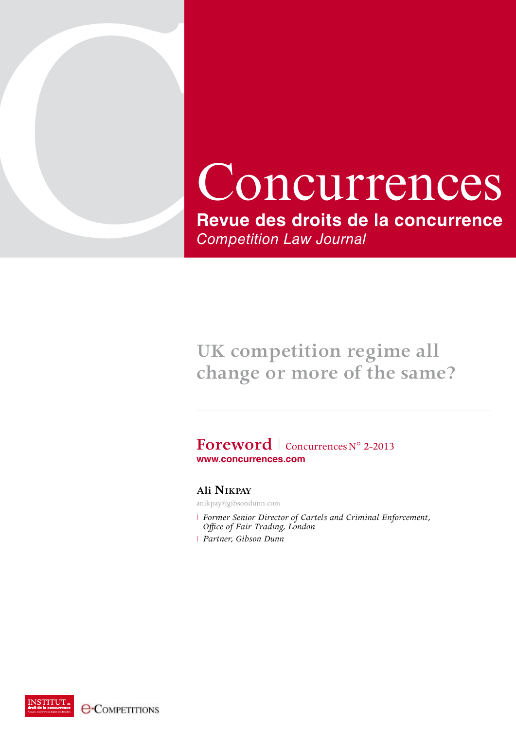

# Concurrences **Revue des droits de la concurrence** *Competition Law Journal*

# **UK competition regime all change or more of the same?**

## **Foreword** concurrences N° 2-2013 **www.concurrences.com**

## **Ali Nikpay**

anikpay@gibsondunn.com

l *Former Senior Director of Cartels and Criminal Enforcement, Office of Fair Trading, London* l *Partner, Gibson Dunn*

**e-COMPETITIONS**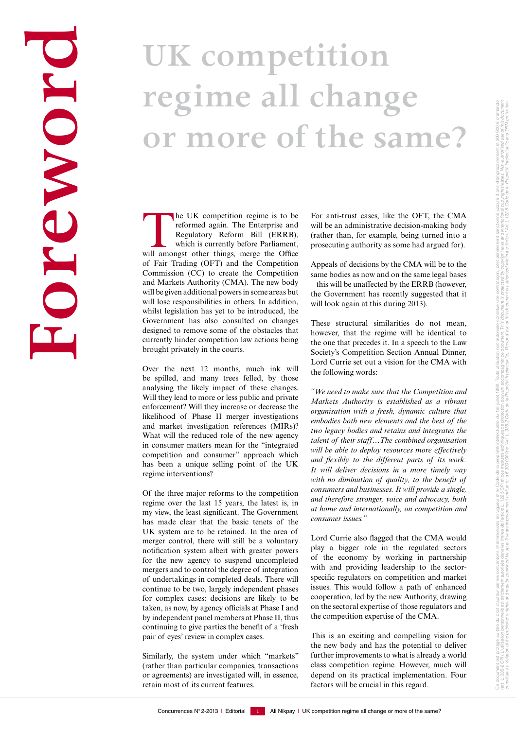# **For the UK competition agains is to be for anti-trust case, like Competition (CONT) CONT CONT CONT CONT CONTENT CONTENT CONTENT CONTENT CONTENT CONTENT CONTENT CONTENT CONTENT CONTENT CONTENT CONTENT CONTENT CONTENT CONTE regime all change or more of the same?**

The UK competition regime is to be reformed again. The Enterprise and Regulatory Reform Bill (ERRB), which is currently before Parliament, will amongst other things, merge the Office reformed again. The Enterprise and Regulatory Reform Bill (ERRB), which is currently before Parliament, of Fair Trading (OFT) and the Competition Commission (CC) to create the Competition and Markets Authority (CMA). The new body will be given additional powers in some areas but will lose responsibilities in others. In addition, whilst legislation has yet to be introduced, the Government has also consulted on changes designed to remove some of the obstacles that currently hinder competition law actions being brought privately in the courts.

Over the next 12 months, much ink will be spilled, and many trees felled, by those analysing the likely impact of these changes. Will they lead to more or less public and private enforcement? Will they increase or decrease the likelihood of Phase II merger investigations and market investigation references (MIRs)? What will the reduced role of the new agency in consumer matters mean for the "integrated competition and consumer" approach which has been a unique selling point of the UK regime interventions?

Of the three major reforms to the competition regime over the last 15 years, the latest is, in my view, the least significant. The Government has made clear that the basic tenets of the UK system are to be retained. In the area of merger control, there will still be a voluntary notification system albeit with greater powers for the new agency to suspend uncompleted mergers and to control the degree of integration of undertakings in completed deals. There will continue to be two, largely independent phases for complex cases: decisions are likely to be taken, as now, by agency officials at Phase I and by independent panel members at Phase II, thus continuing to give parties the benefit of a 'fresh pair of eyes' review in complex cases.

Similarly, the system under which "markets" (rather than particular companies, transactions or agreements) are investigated will, in essence, retain most of its current features.

For anti-trust cases, like the OFT, the CMA will be an administrative decision-making body (rather than, for example, being turned into a prosecuting authority as some had argued for).

Appeals of decisions by the CMA will be to the same bodies as now and on the same legal bases – this will be unaffected by the ERRB (however, the Government has recently suggested that it will look again at this during 2013).

These structural similarities do not mean, however, that the regime will be identical to the one that precedes it. In a speech to the Law Society's Competition Section Annual Dinner, Lord Currie set out a vision for the CMA with the following words:

*"We need to make sure that the Competition and Markets Authority is established as a vibrant organisation with a fresh, dynamic culture that embodies both new elements and the best of the two legacy bodies and retains and integrates the talent of their staff…The combined organisation will be able to deploy resources more effectively and flexibly to the different parts of its work. It will deliver decisions in a more timely way with no diminution of quality, to the benefit of consumers and businesses. It will provide a single, and therefore stronger, voice and advocacy, both at home and internationally, on competition and consumer issues."*

Lord Currie also flagged that the CMA would play a bigger role in the regulated sectors of the economy by working in partnership with and providing leadership to the sectorspecific regulators on competition and market issues. This would follow a path of enhanced cooperation, led by the new Authority, drawing on the sectoral expertise of those regulators and the competition expertise of the CMA.

This is an exciting and compelling vision for the new body and has the potential to deliver further improvements to what is already a world class competition regime. However, much will depend on its practical implementation. Four factors will be crucial in this regard.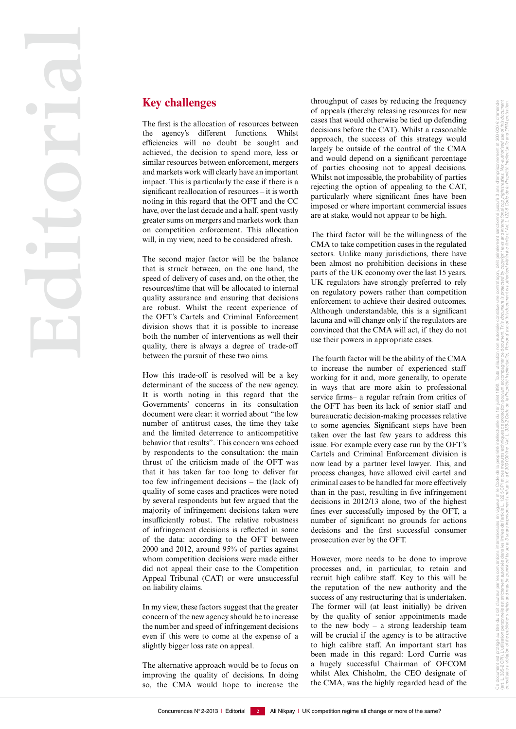The first is the allocation of resources between the agency's different functions. Whilst efficiencies will no doubt be sought and achieved, the decision to spend more, less or similar resources between enforcement, mergers and markets work will clearly have an important impact. This is particularly the case if there is a significant reallocation of resources – it is worth noting in this regard that the OFT and the CC have, over the last decade and a half, spent vastly greater sums on mergers and markets work than on competition enforcement. This allocation will, in my view, need to be considered afresh.

The second major factor will be the balance that is struck between, on the one hand, the speed of delivery of cases and, on the other, the resources/time that will be allocated to internal quality assurance and ensuring that decisions are robust. Whilst the recent experience of the OFT's Cartels and Criminal Enforcement division shows that it is possible to increase both the number of interventions as well their quality, there is always a degree of trade-off between the pursuit of these two aims.

How this trade-off is resolved will be a key determinant of the success of the new agency. It is worth noting in this regard that the Governments' concerns in its consultation document were clear: it worried about "the low number of antitrust cases, the time they take and the limited deterrence to anticompetitive behavior that results". This concern was echoed by respondents to the consultation: the main thrust of the criticism made of the OFT was that it has taken far too long to deliver far too few infringement decisions – the (lack of) quality of some cases and practices were noted by several respondents but few argued that the majority of infringement decisions taken were insufficiently robust. The relative robustness of infringement decisions is reflected in some of the data: according to the OFT between 2000 and 2012, around 95% of parties against whom competition decisions were made either did not appeal their case to the Competition Appeal Tribunal (CAT) or were unsuccessful on liability claims.

In my view, these factors suggest that the greater concern of the new agency should be to increase the number and speed of infringement decisions even if this were to come at the expense of a slightly bigger loss rate on appeal.

The alternative approach would be to focus on improving the quality of decisions. In doing so, the CMA would hope to increase the

throughput of cases by reducing the frequency of appeals (thereby releasing resources for new cases that would otherwise be tied up defending decisions before the CAT). Whilst a reasonable approach, the success of this strategy would largely be outside of the control of the CMA and would depend on a significant percentage of parties choosing not to appeal decisions. Whilst not impossible, the probability of parties rejecting the option of appealing to the CAT, particularly where significant fines have been imposed or where important commercial issues are at stake, would not appear to be high.

The third factor will be the willingness of the CMA to take competition cases in the regulated sectors. Unlike many jurisdictions, there have been almost no prohibition decisions in these parts of the UK economy over the last 15 years. UK regulators have strongly preferred to rely on regulatory powers rather than competition enforcement to achieve their desired outcomes. Although understandable, this is a significant lacuna and will change only if the regulators are convinced that the CMA will act, if they do not use their powers in appropriate cases.

The fourth factor will be the ability of the CMA to increase the number of experienced staff working for it and, more generally, to operate in ways that are more akin to professional service firms– a regular refrain from critics of the OFT has been its lack of senior staff and bureaucratic decision-making processes relative to some agencies. Significant steps have been taken over the last few years to address this issue. For example every case run by the OFT's Cartels and Criminal Enforcement division is now lead by a partner level lawyer. This, and process changes, have allowed civil cartel and criminal cases to be handled far more effectively than in the past, resulting in five infringement decisions in 2012/13 alone, two of the highest fines ever successfully imposed by the OFT, a number of significant no grounds for actions decisions and the first successful consumer prosecution ever by the OFT.

However, more needs to be done to improve processes and, in particular, to retain and recruit high calibre staff. Key to this will be the reputation of the new authority and the success of any restructuring that is undertaken. The former will (at least initially) be driven by the quality of senior appointments made to the new body – a strong leadership team will be crucial if the agency is to be attractive to high calibre staff. An important start has been made in this regard: Lord Currie was a hugely successful Chairman of OFCOM whilst Alex Chisholm, the CEO designate of the CMA, was the highly regarded head of the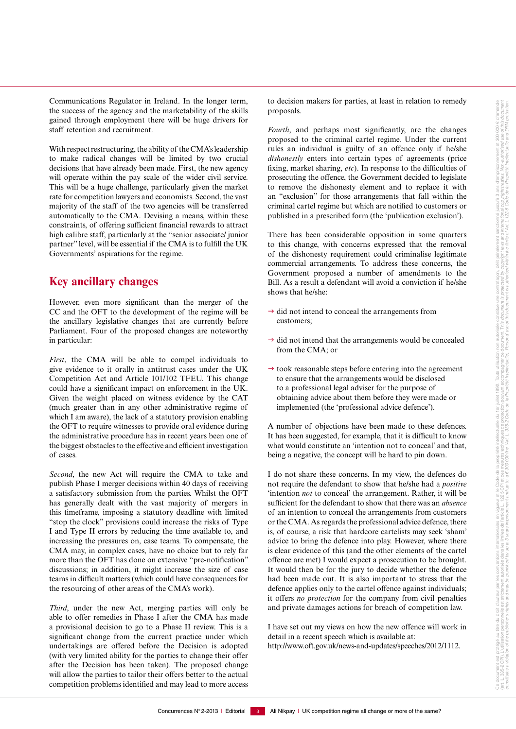Communications Regulator in Ireland. In the longer term, the success of the agency and the marketability of the skills gained through employment there will be huge drivers for staff retention and recruitment.

With respect restructuring, the ability of the CMA's leadership to make radical changes will be limited by two crucial decisions that have already been made. First, the new agency will operate within the pay scale of the wider civil service. This will be a huge challenge, particularly given the market rate for competition lawyers and economists. Second, the vast majority of the staff of the two agencies will be transferred automatically to the CMA. Devising a means, within these constraints, of offering sufficient financial rewards to attract high calibre staff, particularly at the "senior associate/ junior partner" level, will be essential if the CMA is to fulfill the UK Governments' aspirations for the regime.

## **Key ancillary changes**

However, even more significant than the merger of the CC and the OFT to the development of the regime will be the ancillary legislative changes that are currently before Parliament. Four of the proposed changes are noteworthy in particular:

*First*, the CMA will be able to compel individuals to give evidence to it orally in antitrust cases under the UK Competition Act and Article 101/102 TFEU. This change could have a significant impact on enforcement in the UK. Given the weight placed on witness evidence by the CAT (much greater than in any other administrative regime of which I am aware), the lack of a statutory provision enabling the OFT to require witnesses to provide oral evidence during the administrative procedure has in recent years been one of the biggest obstacles to the effective and efficient investigation of cases.

*Second*, the new Act will require the CMA to take and publish Phase I merger decisions within 40 days of receiving a satisfactory submission from the parties. Whilst the OFT has generally dealt with the vast majority of mergers in this timeframe, imposing a statutory deadline with limited "stop the clock" provisions could increase the risks of Type I and Type II errors by reducing the time available to, and increasing the pressures on, case teams. To compensate, the CMA may, in complex cases, have no choice but to rely far more than the OFT has done on extensive "pre-notification" discussions; in addition, it might increase the size of case teams in difficult matters (which could have consequences for the resourcing of other areas of the CMA's work).

*Third*, under the new Act, merging parties will only be able to offer remedies in Phase I after the CMA has made a provisional decision to go to a Phase II review. This is a significant change from the current practice under which undertakings are offered before the Decision is adopted (with very limited ability for the parties to change their offer after the Decision has been taken). The proposed change will allow the parties to tailor their offers better to the actual competition problems identified and may lead to more access to decision makers for parties, at least in relation to remedy proposals.

*Fourth*, and perhaps most significantly, are the changes proposed to the criminal cartel regime. Under the current rules an individual is guilty of an offence only if he/she *dishonestly* enters into certain types of agreements (price fixing, market sharing, *etc*). In response to the difficulties of prosecuting the offence, the Government decided to legislate to remove the dishonesty element and to replace it with an "exclusion" for those arrangements that fall within the criminal cartel regime but which are notified to customers or published in a prescribed form (the 'publication exclusion').

There has been considerable opposition in some quarters to this change, with concerns expressed that the removal of the dishonesty requirement could criminalise legitimate commercial arrangements. To address these concerns, the Government proposed a number of amendments to the Bill. As a result a defendant will avoid a conviction if he/she shows that he/she:

- $\rightarrow$  did not intend to conceal the arrangements from customers;
- $\rightarrow$  did not intend that the arrangements would be concealed from the CMA; or
- $\rightarrow$  took reasonable steps before entering into the agreement to ensure that the arrangements would be disclosed to a professional legal adviser for the purpose of obtaining advice about them before they were made or implemented (the 'professional advice defence').

A number of objections have been made to these defences. It has been suggested, for example, that it is difficult to know what would constitute an 'intention not to conceal' and that, being a negative, the concept will be hard to pin down.

I do not share these concerns. In my view, the defences do not require the defendant to show that he/she had a *positive* 'intention *not* to conceal' the arrangement. Rather, it will be sufficient for the defendant to show that there was an *absence* of an intention to conceal the arrangements from customers or the CMA. As regards the professional advice defence, there is, of course, a risk that hardcore cartelists may seek 'sham' advice to bring the defence into play. However, where there is clear evidence of this (and the other elements of the cartel offence are met) I would expect a prosecution to be brought. It would then be for the jury to decide whether the defence had been made out. It is also important to stress that the defence applies only to the cartel offence against individuals; it offers *no protection* for the company from civil penalties and private damages actions for breach of competition law.

I have set out my views on how the new offence will work in detail in a recent speech which is available at: http://www.oft.gov.uk/news-and-updates/speeches/2012/1112.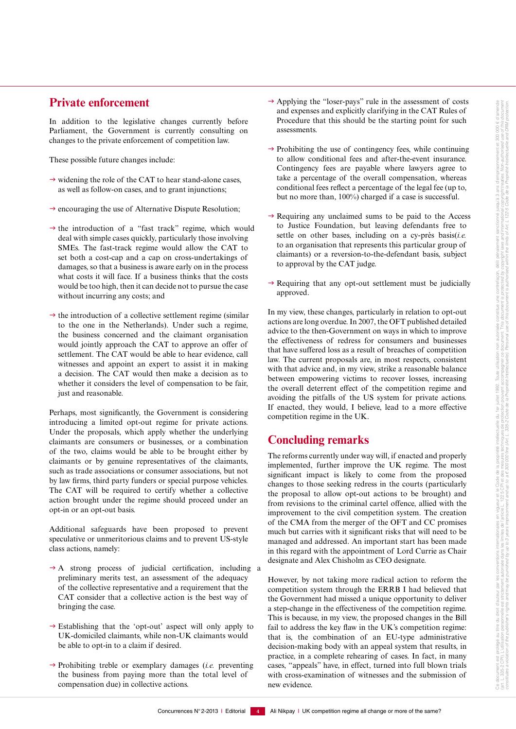## **Private enforcement**

In addition to the legislative changes currently before Parliament, the Government is currently consulting on changes to the private enforcement of competition law.

These possible future changes include:

- $\rightarrow$  widening the role of the CAT to hear stand-alone cases, as well as follow-on cases, and to grant injunctions;
- $\rightarrow$  encouraging the use of Alternative Dispute Resolution;
- $\rightarrow$  the introduction of a "fast track" regime, which would deal with simple cases quickly, particularly those involving SMEs. The fast-track regime would allow the CAT to set both a cost-cap and a cap on cross-undertakings of damages, so that a business is aware early on in the process what costs it will face. If a business thinks that the costs would be too high, then it can decide not to pursue the case without incurring any costs; and
- $\rightarrow$  the introduction of a collective settlement regime (similar to the one in the Netherlands). Under such a regime, the business concerned and the claimant organisation would jointly approach the CAT to approve an offer of settlement. The CAT would be able to hear evidence, call witnesses and appoint an expert to assist it in making a decision. The CAT would then make a decision as to whether it considers the level of compensation to be fair, just and reasonable.

Perhaps, most significantly, the Government is considering introducing a limited opt-out regime for private actions. Under the proposals, which apply whether the underlying claimants are consumers or businesses, or a combination of the two, claims would be able to be brought either by claimants or by genuine representatives of the claimants, such as trade associations or consumer associations, but not by law firms, third party funders or special purpose vehicles. The CAT will be required to certify whether a collective action brought under the regime should proceed under an opt-in or an opt-out basis.

Additional safeguards have been proposed to prevent speculative or unmeritorious claims and to prevent US-style class actions, namely:

- $\rightarrow$  A strong process of judicial certification, including a preliminary merits test, an assessment of the adequacy of the collective representative and a requirement that the CAT consider that a collective action is the best way of bringing the case.
- $\rightarrow$  Establishing that the 'opt-out' aspect will only apply to UK-domiciled claimants, while non-UK claimants would be able to opt-in to a claim if desired.
- $\rightarrow$  Prohibiting treble or exemplary damages (*i.e.* preventing the business from paying more than the total level of compensation due) in collective actions.
- $\rightarrow$  Applying the "loser-pays" rule in the assessment of costs and expenses and explicitly clarifying in the CAT Rules of Procedure that this should be the starting point for such assessments.
- $\rightarrow$  Prohibiting the use of contingency fees, while continuing to allow conditional fees and after-the-event insurance. Contingency fees are payable where lawyers agree to take a percentage of the overall compensation, whereas conditional fees reflect a percentage of the legal fee (up to, but no more than, 100%) charged if a case is successful.
- $\rightarrow$  Requiring any unclaimed sums to be paid to the Access to Justice Foundation, but leaving defendants free to settle on other bases, including on a cy-près basis(*i.e.* to an organisation that represents this particular group of claimants) or a reversion-to-the-defendant basis, subject to approval by the CAT judge.
- $\rightarrow$  Requiring that any opt-out settlement must be judicially approved.

In my view, these changes, particularly in relation to opt-out actions are long overdue. In 2007, the OFT published detailed advice to the then-Government on ways in which to improve the effectiveness of redress for consumers and businesses that have suffered loss as a result of breaches of competition law. The current proposals are, in most respects, consistent with that advice and, in my view, strike a reasonable balance between empowering victims to recover losses, increasing the overall deterrent effect of the competition regime and avoiding the pitfalls of the US system for private actions. If enacted, they would, I believe, lead to a more effective competition regime in the UK.

## **Concluding remarks**

The reforms currently under way will, if enacted and properly implemented, further improve the UK regime. The most significant impact is likely to come from the proposed changes to those seeking redress in the courts (particularly the proposal to allow opt-out actions to be brought) and from revisions to the criminal cartel offence, allied with the improvement to the civil competition system. The creation of the CMA from the merger of the OFT and CC promises much but carries with it significant risks that will need to be managed and addressed. An important start has been made in this regard with the appointment of Lord Currie as Chair designate and Alex Chisholm as CEO designate.

However, by not taking more radical action to reform the competition system through the ERRB I had believed that the Government had missed a unique opportunity to deliver a step-change in the effectiveness of the competition regime. This is because, in my view, the proposed changes in the Bill fail to address the key flaw in the UK's competition regime: that is, the combination of an EU-type administrative decision-making body with an appeal system that results, in practice, in a complete rehearing of cases. In fact, in many cases, "appeals" have, in effect, turned into full blown trials with cross-examination of witnesses and the submission of new evidence.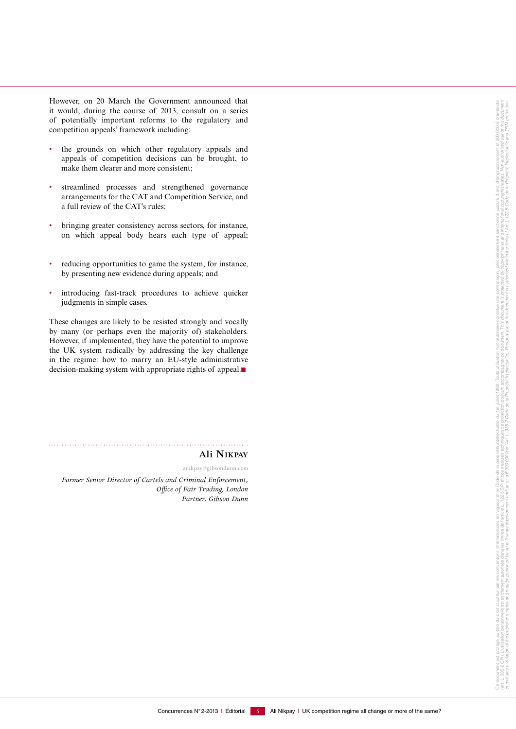However, on 20 March the Government announced that it would, during the course of 2013, consult on a series of potentially important reforms to the regulatory and competition appeals' framework including:

- the grounds on which other regulatory appeals and appeals of competition decisions can be brought, to make them clearer and more consistent;
- streamlined processes and strengthened governance arrangements for the CAT and Competition Service, and a full review of the CAT's rules;
- bringing greater consistency across sectors, for instance, on which appeal body hears each type of appeal;
- reducing opportunities to game the system, for instance, by presenting new evidence during appeals; and
- introducing fast-track procedures to achieve quicker judgments in simple cases.

These changes are likely to be resisted strongly and vocally by many (or perhaps even the majority of) stakeholders. However, if implemented, they have the potential to improve the UK system radically by addressing the key challenge in the regime: how to marry an EU-style administrative decision-making system with appropriate rights of appeal. $\blacksquare$ 

### **Ali Nikpay**

#### anikpay@gibsondunn.com

*Former Senior Director of Cartels and Criminal Enforcement, Office of Fair Trading, London Partner, Gibson Dunn*